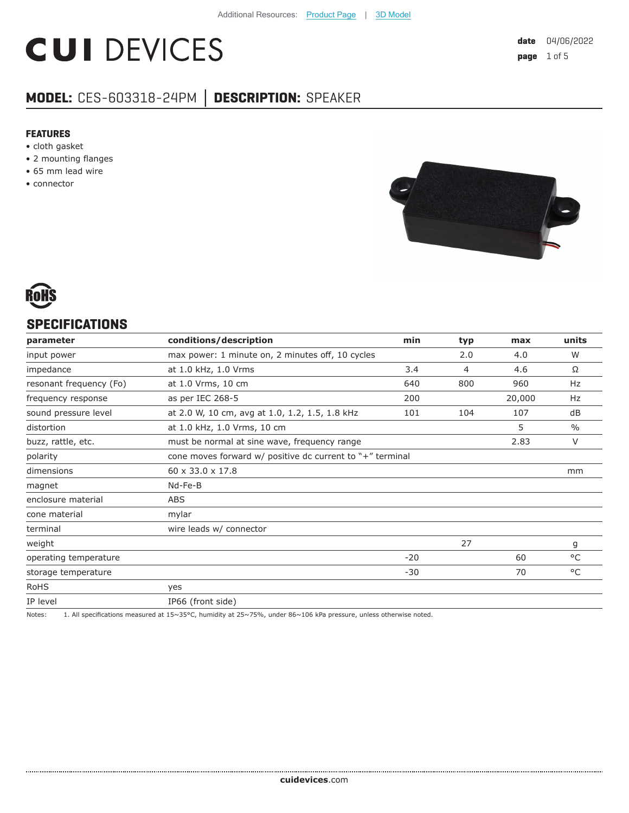# **CUI DEVICES**

# **MODEL:** CES-603318-24PM **│ DESCRIPTION:** SPEAKER

#### **FEATURES**

- cloth gasket
- 2 mounting flanges
- 65 mm lead wire
- connector





## **SPECIFICATIONS**

| parameter               | conditions/description                                    | min   | typ | max    | units         |
|-------------------------|-----------------------------------------------------------|-------|-----|--------|---------------|
| input power             | max power: 1 minute on, 2 minutes off, 10 cycles          |       | 2.0 | 4.0    | W             |
| impedance               | at 1.0 kHz, 1.0 Vrms                                      | 3.4   | 4   | 4.6    | Ω             |
| resonant frequency (Fo) | at 1.0 Vrms, 10 cm                                        | 640   | 800 | 960    | Hz            |
| frequency response      | as per IEC 268-5                                          | 200   |     | 20,000 | Hz            |
| sound pressure level    | at 2.0 W, 10 cm, avg at 1.0, 1.2, 1.5, 1.8 kHz            | 101   | 104 | 107    | dB            |
| distortion              | at 1.0 kHz, 1.0 Vrms, 10 cm                               |       |     | 5      | $\frac{0}{0}$ |
| buzz, rattle, etc.      | must be normal at sine wave, frequency range              |       |     | 2.83   | V             |
| polarity                | cone moves forward w/ positive dc current to "+" terminal |       |     |        |               |
| dimensions              | 60 x 33.0 x 17.8                                          |       |     |        | mm            |
| magnet                  | Nd-Fe-B                                                   |       |     |        |               |
| enclosure material      | <b>ABS</b>                                                |       |     |        |               |
| cone material           | mylar                                                     |       |     |        |               |
| terminal                | wire leads w/ connector                                   |       |     |        |               |
| weight                  |                                                           |       | 27  |        | g             |
| operating temperature   |                                                           | $-20$ |     | 60     | °C            |
| storage temperature     |                                                           | $-30$ |     | 70     | °C            |
| <b>RoHS</b>             | yes                                                       |       |     |        |               |
| IP level                | IP66 (front side)                                         |       |     |        |               |

Notes: 1. All specifications measured at 15~35°C, humidity at 25~75%, under 86~106 kPa pressure, unless otherwise noted.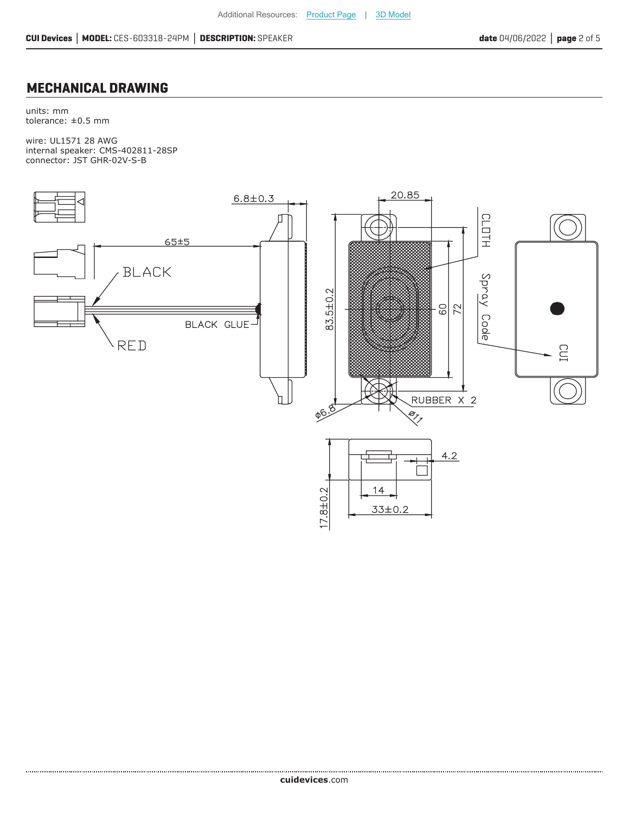## **MECHANICAL DRAWING**

units: mm tolerance: ±0.5 mm

wire: UL1571 28 AWG internal speaker: CMS-402811-28SP connector: JST GHR-02V-S-B

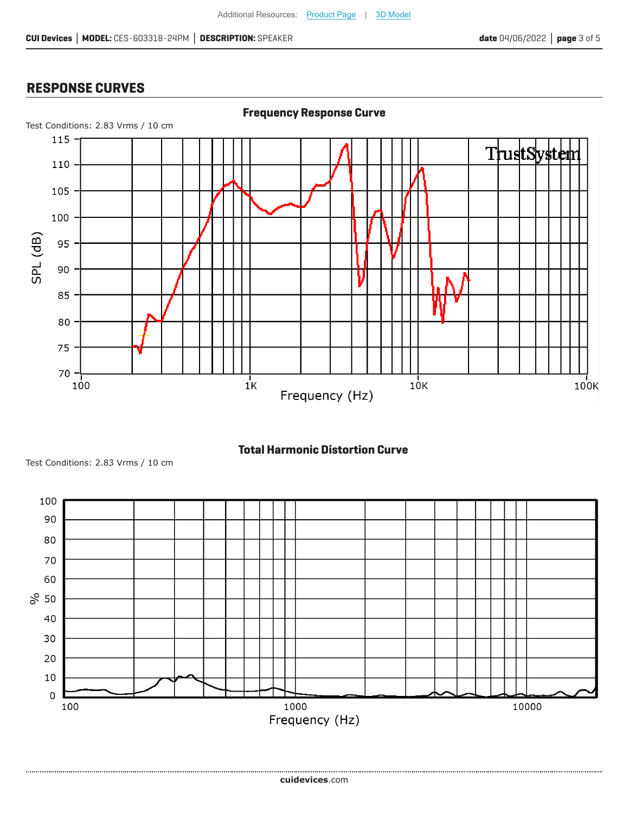# **RESPONSE CURVES**







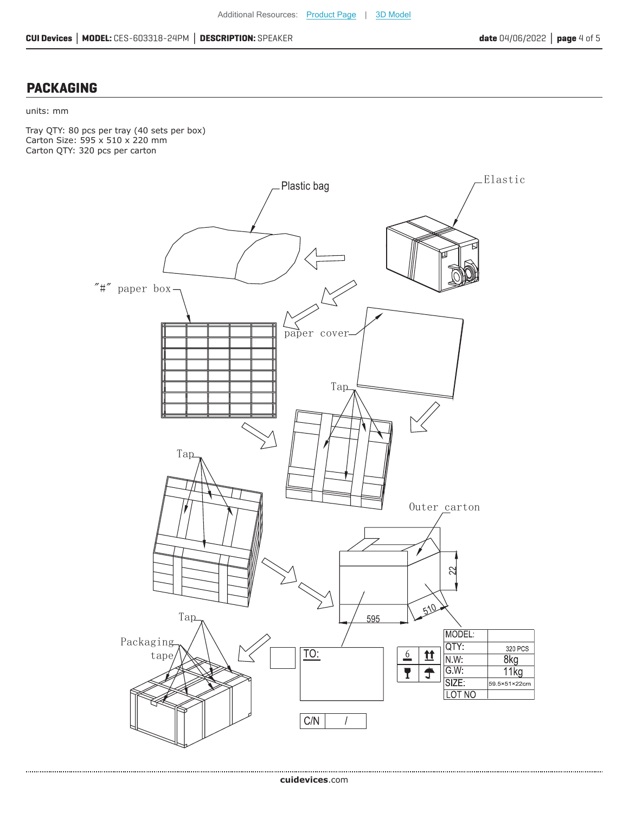### **PACKAGING**

#### units: mm

Tray QTY: 80 pcs per tray (40 sets per box) Carton Size: 595 x 510 x 220 mm Carton QTY: 320 pcs per carton